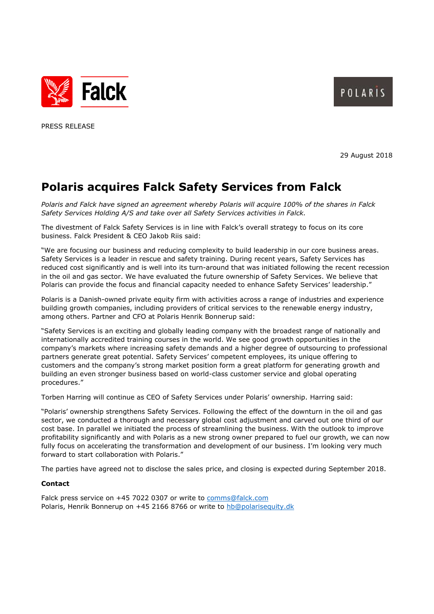



PRESS RELEASE

29 August 2018

# **Polaris acquires Falck Safety Services from Falck**

*Polaris and Falck have signed an agreement whereby Polaris will acquire 100% of the shares in Falck Safety Services Holding A/S and take over all Safety Services activities in Falck.* 

The divestment of Falck Safety Services is in line with Falck's overall strategy to focus on its core business. Falck President & CEO Jakob Riis said:

"We are focusing our business and reducing complexity to build leadership in our core business areas. Safety Services is a leader in rescue and safety training. During recent years, Safety Services has reduced cost significantly and is well into its turn-around that was initiated following the recent recession in the oil and gas sector. We have evaluated the future ownership of Safety Services. We believe that Polaris can provide the focus and financial capacity needed to enhance Safety Services' leadership."

Polaris is a Danish-owned private equity firm with activities across a range of industries and experience building growth companies, including providers of critical services to the renewable energy industry, among others. Partner and CFO at Polaris Henrik Bonnerup said:

"Safety Services is an exciting and globally leading company with the broadest range of nationally and internationally accredited training courses in the world. We see good growth opportunities in the company's markets where increasing safety demands and a higher degree of outsourcing to professional partners generate great potential. Safety Services' competent employees, its unique offering to customers and the company's strong market position form a great platform for generating growth and building an even stronger business based on world-class customer service and global operating procedures."

Torben Harring will continue as CEO of Safety Services under Polaris' ownership. Harring said:

"Polaris' ownership strengthens Safety Services. Following the effect of the downturn in the oil and gas sector, we conducted a thorough and necessary global cost adjustment and carved out one third of our cost base. In parallel we initiated the process of streamlining the business. With the outlook to improve profitability significantly and with Polaris as a new strong owner prepared to fuel our growth, we can now fully focus on accelerating the transformation and development of our business. I'm looking very much forward to start collaboration with Polaris."

The parties have agreed not to disclose the sales price, and closing is expected during September 2018.

### **Contact**

Falck press service on +45 7022 0307 or write to [comms@falck.com](mailto:comms@falck.com) Polaris, Henrik Bonnerup on +45 2166 8766 or write to [hb@polarisequity.dk](mailto:hb@polarisequity.dk)